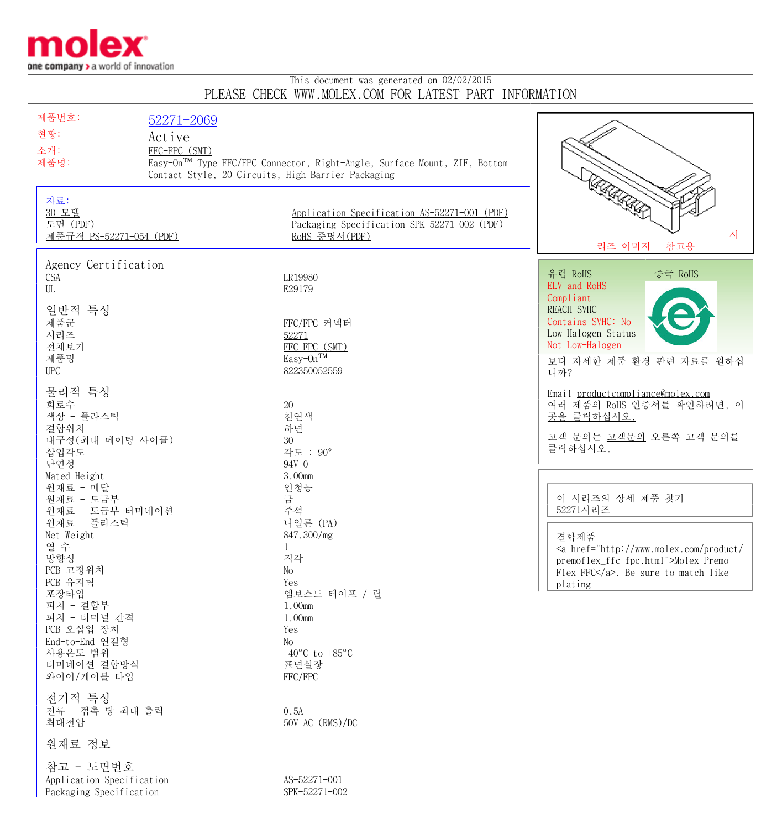

## This document was generated on 02/02/2015 PLEASE CHECK WWW.MOLEX.COM FOR LATEST PART INFORMATION

| 제품번호:                                               | 52271-2069                                         |                                                                                                              |                                                                                                                                                                                                      |
|-----------------------------------------------------|----------------------------------------------------|--------------------------------------------------------------------------------------------------------------|------------------------------------------------------------------------------------------------------------------------------------------------------------------------------------------------------|
| 현황:                                                 | Active                                             |                                                                                                              |                                                                                                                                                                                                      |
| 소개:                                                 | FFC-FPC (SMT)                                      |                                                                                                              |                                                                                                                                                                                                      |
| 제품명:                                                |                                                    | Easy-On™ Type FFC/FPC Connector, Right-Angle, Surface Mount, ZIF, Bottom                                     |                                                                                                                                                                                                      |
|                                                     | Contact Style, 20 Circuits, High Barrier Packaging |                                                                                                              |                                                                                                                                                                                                      |
| 자료:<br>3D 모델<br>도면 (PDF)<br>제품규격 PS-52271-054 (PDF) |                                                    | Application Specification AS-52271-001 (PDF)<br>Packaging Specification SPK-52271-002 (PDF)<br>RoHS 증명서(PDF) | KAKARD<br>시<br>리즈 이미지 - 참고용                                                                                                                                                                          |
| Agency Certification                                |                                                    |                                                                                                              |                                                                                                                                                                                                      |
| <b>CSA</b>                                          |                                                    | LR19980                                                                                                      | 중국 RoHS<br>유럽 RoHS<br>ELV and RoHS                                                                                                                                                                   |
| UL                                                  |                                                    | E29179                                                                                                       | Compliant                                                                                                                                                                                            |
| 일반적 특성                                              |                                                    |                                                                                                              | <b>REACH SVHC</b>                                                                                                                                                                                    |
| 제품군                                                 |                                                    | FFC/FPC 커넥터                                                                                                  | Contains SVHC: No                                                                                                                                                                                    |
| 시리즈<br>전체보기                                         |                                                    | 52271                                                                                                        | Low-Halogen Status<br>Not Low-Halogen                                                                                                                                                                |
| 제품명                                                 |                                                    | FFC-FPC (SMT)<br>Easy-On <sup>TM</sup>                                                                       | 보다 자세한 제품 환경 관련 자료를 원하십                                                                                                                                                                              |
| UPC                                                 |                                                    | 822350052559                                                                                                 | 니까?                                                                                                                                                                                                  |
|                                                     |                                                    |                                                                                                              |                                                                                                                                                                                                      |
| 물리적 특성<br>회로수                                       |                                                    | 20                                                                                                           | Email productcompliance@molex.com<br>여러 제품의 RoHS 인증서를 확인하려면, 이                                                                                                                                       |
| 색상 - 플라스틱                                           |                                                    | 천연색                                                                                                          | 곳을 클릭하십시오.                                                                                                                                                                                           |
| 결합위치                                                |                                                    | 하면                                                                                                           |                                                                                                                                                                                                      |
| 내구성 (최대 메이팅 사이클)                                    |                                                    | 30                                                                                                           | 고객 문의는 고객문의 오른쪽 고객 문의를<br>클릭하십시오.                                                                                                                                                                    |
| 삽입각도                                                |                                                    | 각도 : 90°                                                                                                     |                                                                                                                                                                                                      |
| 난연성<br>Mated Height                                 |                                                    | $94V - 0$<br>3.00mm                                                                                          |                                                                                                                                                                                                      |
| 원재료 - 메탈                                            |                                                    | 인청동                                                                                                          |                                                                                                                                                                                                      |
| 원재료 - 도금부                                           |                                                    | 금                                                                                                            | 이 시리즈의 상세 제품 찾기                                                                                                                                                                                      |
| 원재료 - 도금부 터미네이션                                     |                                                    | 주석                                                                                                           | 52271시리즈                                                                                                                                                                                             |
| 원재료 - 플라스틱<br>Net Weight                            |                                                    | 나일론 (PA)<br>847.300/mg                                                                                       |                                                                                                                                                                                                      |
| 열 수                                                 |                                                    | 1                                                                                                            | 결합제품<br><a href="http://www.molex.com/product/&lt;/td&gt;&lt;/tr&gt;&lt;tr&gt;&lt;td&gt;방향성&lt;/td&gt;&lt;td&gt;&lt;/td&gt;&lt;td&gt;직각&lt;/td&gt;&lt;td&gt;premoflex_ffc-fpc.html">Molex Premo-</a> |
| PCB 고정위치                                            |                                                    | No                                                                                                           | Flex FFC. Be sure to match like                                                                                                                                                                      |
| PCB 유지력<br>포장타입                                     |                                                    | Yes<br>엠보스드 테이프 / 릴                                                                                          | plating                                                                                                                                                                                              |
| 피치 - 결합부                                            |                                                    | 1.00mm                                                                                                       |                                                                                                                                                                                                      |
| 피치 - 터미널 간격                                         |                                                    | 1.00mm                                                                                                       |                                                                                                                                                                                                      |
| PCB 오삽입 장치                                          |                                                    | Yes                                                                                                          |                                                                                                                                                                                                      |
| End-to-End 연결형                                      |                                                    | No                                                                                                           |                                                                                                                                                                                                      |
| 사용온도 범위<br>터미네이션 결합방식                               |                                                    | $-40^{\circ}$ C to $+85^{\circ}$ C<br>표면실장                                                                   |                                                                                                                                                                                                      |
| 와이어/케이블 타입                                          |                                                    | FFC/FPC                                                                                                      |                                                                                                                                                                                                      |
|                                                     |                                                    |                                                                                                              |                                                                                                                                                                                                      |
| 전기적 특성                                              |                                                    |                                                                                                              |                                                                                                                                                                                                      |
| 전류 - 접촉 당 최대 출력<br>최대전압                             |                                                    | 0.5A<br>50V AC (RMS)/DC                                                                                      |                                                                                                                                                                                                      |
|                                                     |                                                    |                                                                                                              |                                                                                                                                                                                                      |
| 원재료 정보                                              |                                                    |                                                                                                              |                                                                                                                                                                                                      |
| 참고 - 도면번호                                           |                                                    |                                                                                                              |                                                                                                                                                                                                      |
| Application Specification                           |                                                    | AS-52271-001                                                                                                 |                                                                                                                                                                                                      |
| Packaging Specification                             |                                                    | SPK-52271-002                                                                                                |                                                                                                                                                                                                      |